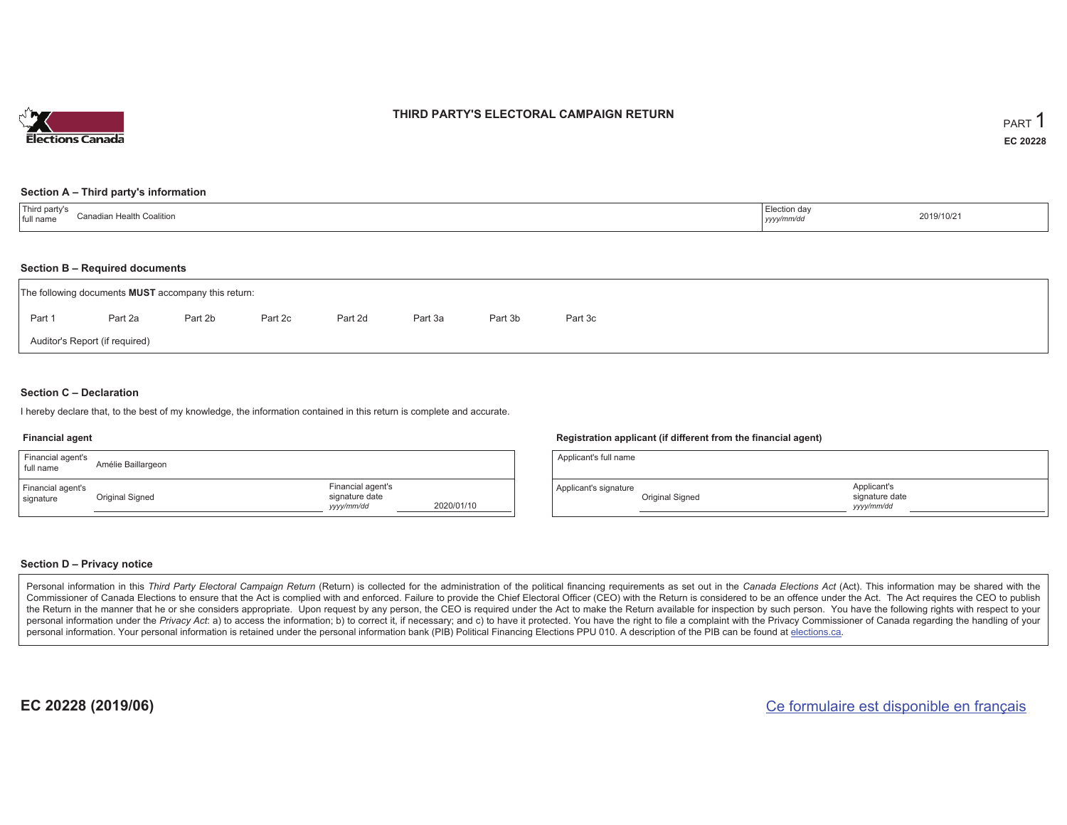

### **THIRD PARTY'S ELECTORAL CAMPAIGN RETURN**

#### **Section A – Third party's information**

| 'Third party's<br>ี ^anadian Health Coalition<br>full name | Election day<br>the contract of the contract of the contract of the contract of the contract of<br>yyyy/mm/dd | 2019/10/21 |
|------------------------------------------------------------|---------------------------------------------------------------------------------------------------------------|------------|
|------------------------------------------------------------|---------------------------------------------------------------------------------------------------------------|------------|

#### **Section B – Required documents**

| The following documents <b>MUST</b> accompany this return: |         |         |         |         |         |         |         |  |  |  |
|------------------------------------------------------------|---------|---------|---------|---------|---------|---------|---------|--|--|--|
| Part 1                                                     | Part 2a | Part 2b | Part 2c | Part 2d | Part 3a | Part 3b | Part 3c |  |  |  |
| Auditor's Report (if required)                             |         |         |         |         |         |         |         |  |  |  |

#### **Section C – Declaration**

I hereby declare that, to the best of my knowledge, the information contained in this return is complete and accurate.

#### **Financial agent**

| Financial agent's<br>full name | Amélie Baillargeon |                                                   |            |
|--------------------------------|--------------------|---------------------------------------------------|------------|
| Financial agent's<br>signature | Original Signed    | Financial agent's<br>signature date<br>yyyy/mm/dd | 2020/01/10 |

#### **Registration applicant (if different from the financial agent)**

| Applicant's full name |                 |                                             |  |
|-----------------------|-----------------|---------------------------------------------|--|
| Applicant's signature | Original Signed | Applicant's<br>signature date<br>yyyy/mm/dd |  |

#### **Section D – Privacy notice**

Personal information in this Third Party Electoral Campaign Return (Return) is collected for the administration of the political financing requirements as set out in the Canada Elections Act (Act). This information may be Commissioner of Canada Elections to ensure that the Act is complied with and enforced. Failure to provide the Chief Electoral Officer (CEO) with the Return is considered to be an offence under the Act. The Act requires the the Return in the manner that he or she considers appropriate. Upon request by any person, the CEO is required under the Act to make the Return available for inspection by such person. You have the following rights with re personal information under the Privacy Act: a) to access the information; b) to correct it, if necessary; and c) to have it protected. You have the right to file a complaint with the Privacy Commissioner of Canada regardin personal information. Your personal information is retained under the personal information bank (PIB) Political Financing Elections PPU 010. A description of the PIB can be found at elections.ca.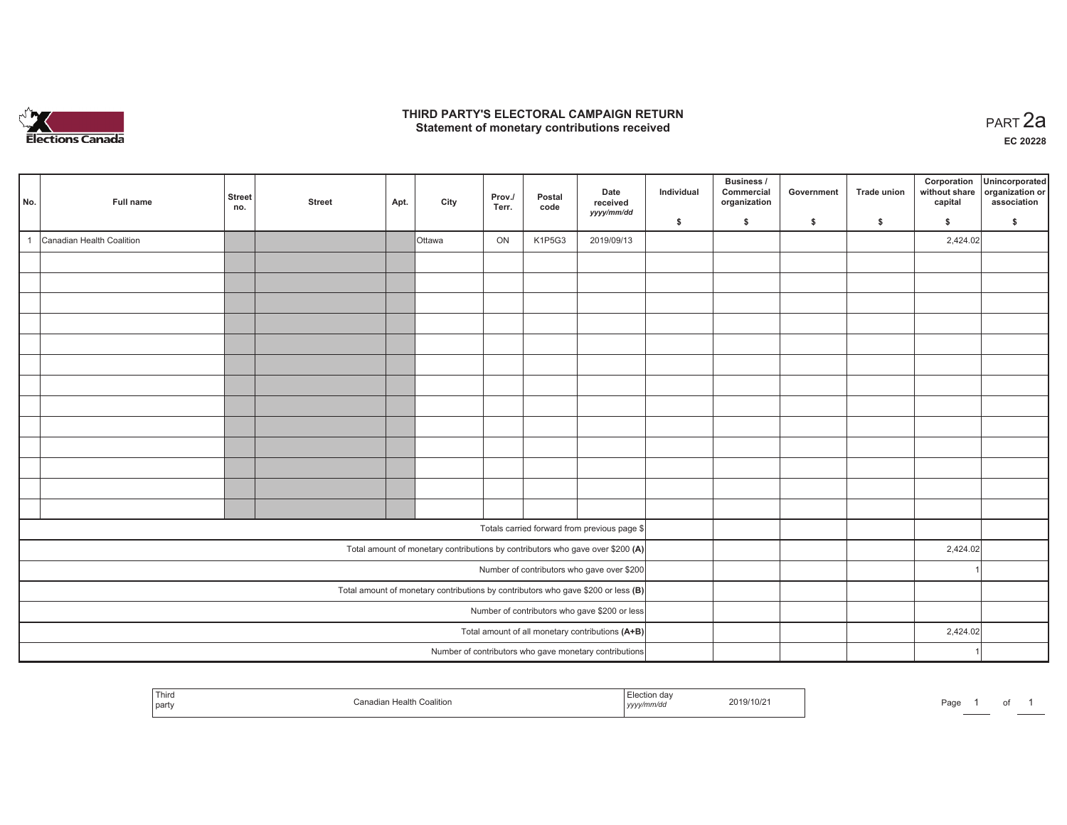

### **THIRD PARTY'S ELECTORAL CAMPAIGN RETURN HIRD PARTY'S ELECTORAL CAMPAIGN RETURN<br>Statement of monetary contributions received PART 2a**

**EC 20228**

| No. | Full name                 | Street<br>no. | <b>Street</b> | Apt. | City          | Prov./<br>Terr. | Postal<br>code | Date<br>received<br>yyyy/mm/dd                                                      | Individual<br>\$ | Business /<br>Commercial<br>organization<br>\$ | Government<br>\$ | Trade union<br>$\mathsf{s}$ | Corporation<br>without share<br>capital<br>\$ | Unincorporated<br>organization or<br>association<br>\$ |
|-----|---------------------------|---------------|---------------|------|---------------|-----------------|----------------|-------------------------------------------------------------------------------------|------------------|------------------------------------------------|------------------|-----------------------------|-----------------------------------------------|--------------------------------------------------------|
|     | Canadian Health Coalition |               |               |      |               | ON              | K1P5G3         |                                                                                     |                  |                                                |                  |                             | 2,424.02                                      |                                                        |
|     |                           |               |               |      | <b>Ottawa</b> |                 |                | 2019/09/13                                                                          |                  |                                                |                  |                             |                                               |                                                        |
|     |                           |               |               |      |               |                 |                |                                                                                     |                  |                                                |                  |                             |                                               |                                                        |
|     |                           |               |               |      |               |                 |                |                                                                                     |                  |                                                |                  |                             |                                               |                                                        |
|     |                           |               |               |      |               |                 |                |                                                                                     |                  |                                                |                  |                             |                                               |                                                        |
|     |                           |               |               |      |               |                 |                |                                                                                     |                  |                                                |                  |                             |                                               |                                                        |
|     |                           |               |               |      |               |                 |                |                                                                                     |                  |                                                |                  |                             |                                               |                                                        |
|     |                           |               |               |      |               |                 |                |                                                                                     |                  |                                                |                  |                             |                                               |                                                        |
|     |                           |               |               |      |               |                 |                |                                                                                     |                  |                                                |                  |                             |                                               |                                                        |
|     |                           |               |               |      |               |                 |                |                                                                                     |                  |                                                |                  |                             |                                               |                                                        |
|     |                           |               |               |      |               |                 |                |                                                                                     |                  |                                                |                  |                             |                                               |                                                        |
|     |                           |               |               |      |               |                 |                |                                                                                     |                  |                                                |                  |                             |                                               |                                                        |
|     |                           |               |               |      |               |                 |                |                                                                                     |                  |                                                |                  |                             |                                               |                                                        |
|     |                           |               |               |      |               |                 |                |                                                                                     |                  |                                                |                  |                             |                                               |                                                        |
|     |                           |               |               |      |               |                 |                |                                                                                     |                  |                                                |                  |                             |                                               |                                                        |
|     |                           |               |               |      |               |                 |                | Totals carried forward from previous page \$                                        |                  |                                                |                  |                             |                                               |                                                        |
|     |                           |               |               |      |               |                 |                | Total amount of monetary contributions by contributors who gave over \$200 (A)      |                  |                                                |                  |                             | 2,424.02                                      |                                                        |
|     |                           |               |               |      |               |                 |                | Number of contributors who gave over \$200                                          |                  |                                                |                  |                             |                                               |                                                        |
|     |                           |               |               |      |               |                 |                | Total amount of monetary contributions by contributors who gave \$200 or less $(B)$ |                  |                                                |                  |                             |                                               |                                                        |
|     |                           |               |               |      |               |                 |                | Number of contributors who gave \$200 or less                                       |                  |                                                |                  |                             |                                               |                                                        |
|     |                           |               |               |      |               |                 |                | Total amount of all monetary contributions (A+B)                                    |                  |                                                |                  |                             | 2,424.02                                      |                                                        |
|     |                           |               |               |      |               |                 |                | Number of contributors who gave monetary contributions                              |                  |                                                |                  |                             |                                               |                                                        |

| —<br>Third<br>part |  | 2019/10/2<br>the contract of the contract of the contract of the contract of the contract of<br>,,,,, | ---<br>-ayı |
|--------------------|--|-------------------------------------------------------------------------------------------------------|-------------|
|--------------------|--|-------------------------------------------------------------------------------------------------------|-------------|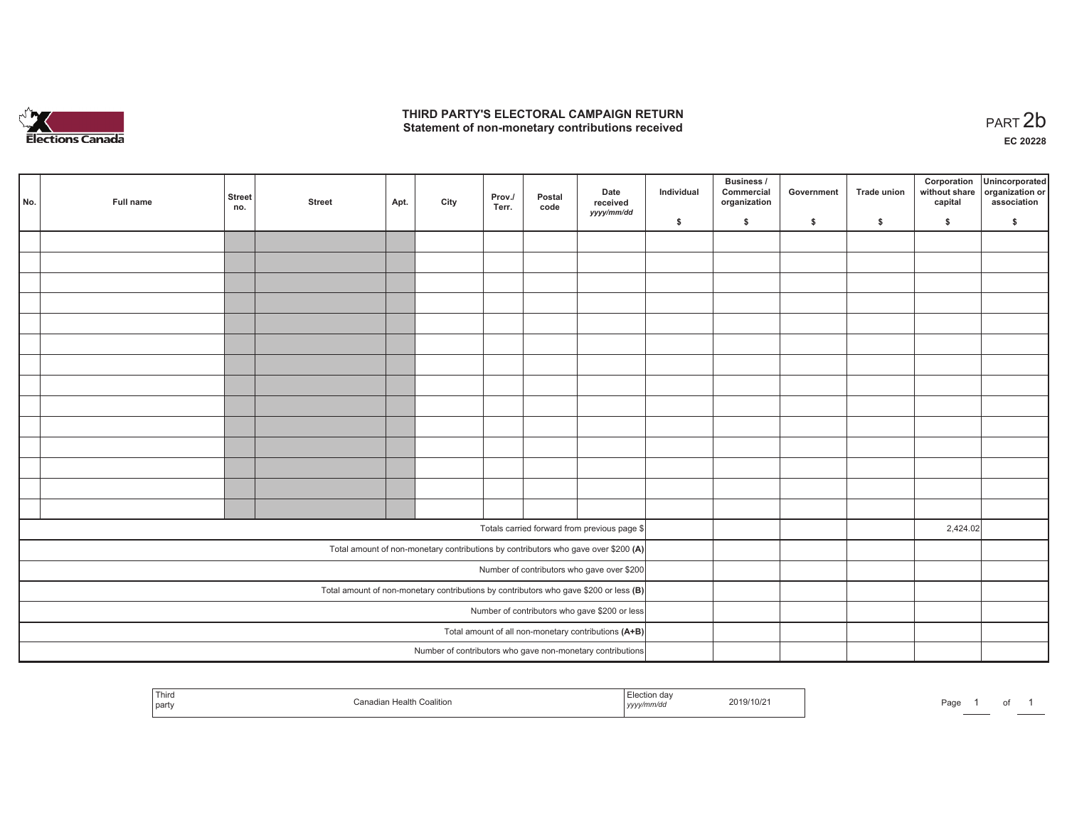

## **THIRD PARTY'S ELECTORAL CAMPAIGN RETURN**  THIRD PARTY'S ELECTORAL CAMPAIGN RETURN<br>Statement of non-monetary contributions received<br> **PART 2b**

| No. | Full name | <b>Street</b><br>no. | <b>Street</b> | Apt. | City | Prov./<br>Terr. | Postal<br>code | Date<br>received<br>yyyy/mm/dd                                                          | Individual | <b>Business /</b><br>Commercial<br>organization | Government   | Trade union  | Corporation<br>capital | Unincorporated<br>without share organization or<br>association |
|-----|-----------|----------------------|---------------|------|------|-----------------|----------------|-----------------------------------------------------------------------------------------|------------|-------------------------------------------------|--------------|--------------|------------------------|----------------------------------------------------------------|
|     |           |                      |               |      |      |                 |                |                                                                                         | \$         | \$                                              | $\mathsf{s}$ | $\mathbf{s}$ | \$                     | \$                                                             |
|     |           |                      |               |      |      |                 |                |                                                                                         |            |                                                 |              |              |                        |                                                                |
|     |           |                      |               |      |      |                 |                |                                                                                         |            |                                                 |              |              |                        |                                                                |
|     |           |                      |               |      |      |                 |                |                                                                                         |            |                                                 |              |              |                        |                                                                |
|     |           |                      |               |      |      |                 |                |                                                                                         |            |                                                 |              |              |                        |                                                                |
|     |           |                      |               |      |      |                 |                |                                                                                         |            |                                                 |              |              |                        |                                                                |
|     |           |                      |               |      |      |                 |                |                                                                                         |            |                                                 |              |              |                        |                                                                |
|     |           |                      |               |      |      |                 |                |                                                                                         |            |                                                 |              |              |                        |                                                                |
|     |           |                      |               |      |      |                 |                |                                                                                         |            |                                                 |              |              |                        |                                                                |
|     |           |                      |               |      |      |                 |                |                                                                                         |            |                                                 |              |              |                        |                                                                |
|     |           |                      |               |      |      |                 |                |                                                                                         |            |                                                 |              |              |                        |                                                                |
|     |           |                      |               |      |      |                 |                |                                                                                         |            |                                                 |              |              |                        |                                                                |
|     |           |                      |               |      |      |                 |                |                                                                                         |            |                                                 |              |              |                        |                                                                |
|     |           |                      |               |      |      |                 |                |                                                                                         |            |                                                 |              |              |                        |                                                                |
|     |           |                      |               |      |      |                 |                |                                                                                         |            |                                                 |              |              |                        |                                                                |
|     |           |                      |               |      |      |                 |                |                                                                                         |            |                                                 |              |              |                        |                                                                |
|     |           |                      |               |      |      |                 |                | Totals carried forward from previous page \$                                            |            |                                                 |              |              | 2,424.02               |                                                                |
|     |           |                      |               |      |      |                 |                | Total amount of non-monetary contributions by contributors who gave over \$200 (A)      |            |                                                 |              |              |                        |                                                                |
|     |           |                      |               |      |      |                 |                | Number of contributors who gave over \$200                                              |            |                                                 |              |              |                        |                                                                |
|     |           |                      |               |      |      |                 |                | Total amount of non-monetary contributions by contributors who gave \$200 or less $(B)$ |            |                                                 |              |              |                        |                                                                |
|     |           |                      |               |      |      |                 |                | Number of contributors who gave \$200 or less                                           |            |                                                 |              |              |                        |                                                                |
|     |           |                      |               |      |      |                 |                | Total amount of all non-monetary contributions (A+B)                                    |            |                                                 |              |              |                        |                                                                |
|     |           |                      |               |      |      |                 |                | Number of contributors who gave non-monetary contributions                              |            |                                                 |              |              |                        |                                                                |

| l Third<br>  party | Coalition<br>ı Health<br>Canadiar | rection davات ,<br>2019/10/21<br>yyyy/mm/dd | Page |
|--------------------|-----------------------------------|---------------------------------------------|------|
|--------------------|-----------------------------------|---------------------------------------------|------|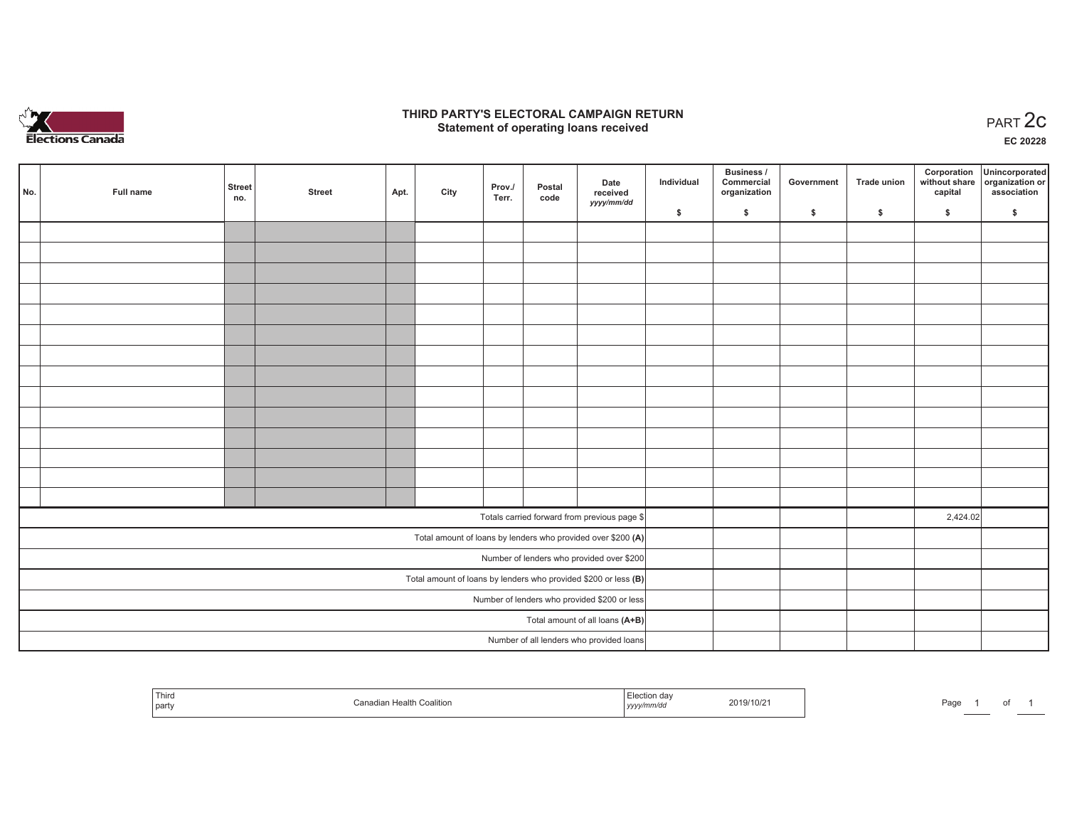

### **THIRD PARTY'S ELECTORAL CAMPAIGN RETURN STATE:** PARTY'S ELECTORAL CAMPAIGN RETURN<br>
Statement of operating loans received

**EC 20228**

| No. | Full name | <b>Street</b><br>no. | <b>Street</b> | Apt. | City | Prov./<br>Terr. | Postal<br>code | Date<br>received                                                  | Individual | Business /<br>Commercial<br>organization | Government | Trade union | Corporation<br>capital | Unincorporated<br>without share organization or<br>association |
|-----|-----------|----------------------|---------------|------|------|-----------------|----------------|-------------------------------------------------------------------|------------|------------------------------------------|------------|-------------|------------------------|----------------------------------------------------------------|
|     |           |                      |               |      |      |                 |                | yyyy/mm/dd                                                        | \$         | \$                                       | \$         | \$          | \$                     | \$                                                             |
|     |           |                      |               |      |      |                 |                |                                                                   |            |                                          |            |             |                        |                                                                |
|     |           |                      |               |      |      |                 |                |                                                                   |            |                                          |            |             |                        |                                                                |
|     |           |                      |               |      |      |                 |                |                                                                   |            |                                          |            |             |                        |                                                                |
|     |           |                      |               |      |      |                 |                |                                                                   |            |                                          |            |             |                        |                                                                |
|     |           |                      |               |      |      |                 |                |                                                                   |            |                                          |            |             |                        |                                                                |
|     |           |                      |               |      |      |                 |                |                                                                   |            |                                          |            |             |                        |                                                                |
|     |           |                      |               |      |      |                 |                |                                                                   |            |                                          |            |             |                        |                                                                |
|     |           |                      |               |      |      |                 |                |                                                                   |            |                                          |            |             |                        |                                                                |
|     |           |                      |               |      |      |                 |                |                                                                   |            |                                          |            |             |                        |                                                                |
|     |           |                      |               |      |      |                 |                |                                                                   |            |                                          |            |             |                        |                                                                |
|     |           |                      |               |      |      |                 |                |                                                                   |            |                                          |            |             |                        |                                                                |
|     |           |                      |               |      |      |                 |                |                                                                   |            |                                          |            |             |                        |                                                                |
|     |           |                      |               |      |      |                 |                |                                                                   |            |                                          |            |             |                        |                                                                |
|     |           |                      |               |      |      |                 |                |                                                                   |            |                                          |            |             |                        |                                                                |
|     |           |                      |               |      |      |                 |                | Totals carried forward from previous page \$                      |            |                                          |            |             | 2,424.02               |                                                                |
|     |           |                      |               |      |      |                 |                | Total amount of loans by lenders who provided over \$200 (A)      |            |                                          |            |             |                        |                                                                |
|     |           |                      |               |      |      |                 |                | Number of lenders who provided over \$200                         |            |                                          |            |             |                        |                                                                |
|     |           |                      |               |      |      |                 |                | Total amount of loans by lenders who provided \$200 or less $(B)$ |            |                                          |            |             |                        |                                                                |
|     |           |                      |               |      |      |                 |                | Number of lenders who provided \$200 or less                      |            |                                          |            |             |                        |                                                                |
|     |           |                      |               |      |      |                 |                | Total amount of all loans (A+B)                                   |            |                                          |            |             |                        |                                                                |
|     |           |                      |               |      |      |                 |                | Number of all lenders who provided loans                          |            |                                          |            |             |                        |                                                                |

| <sup>I</sup> Third<br>l partv | ⊦Coalition<br>≅ anadian Healthب ب | ection da:ـ<br>mm/aa<br>,,,,, | 2019/10/2 | $D^{\alpha}$<br>'au |  |
|-------------------------------|-----------------------------------|-------------------------------|-----------|---------------------|--|
|-------------------------------|-----------------------------------|-------------------------------|-----------|---------------------|--|

of 1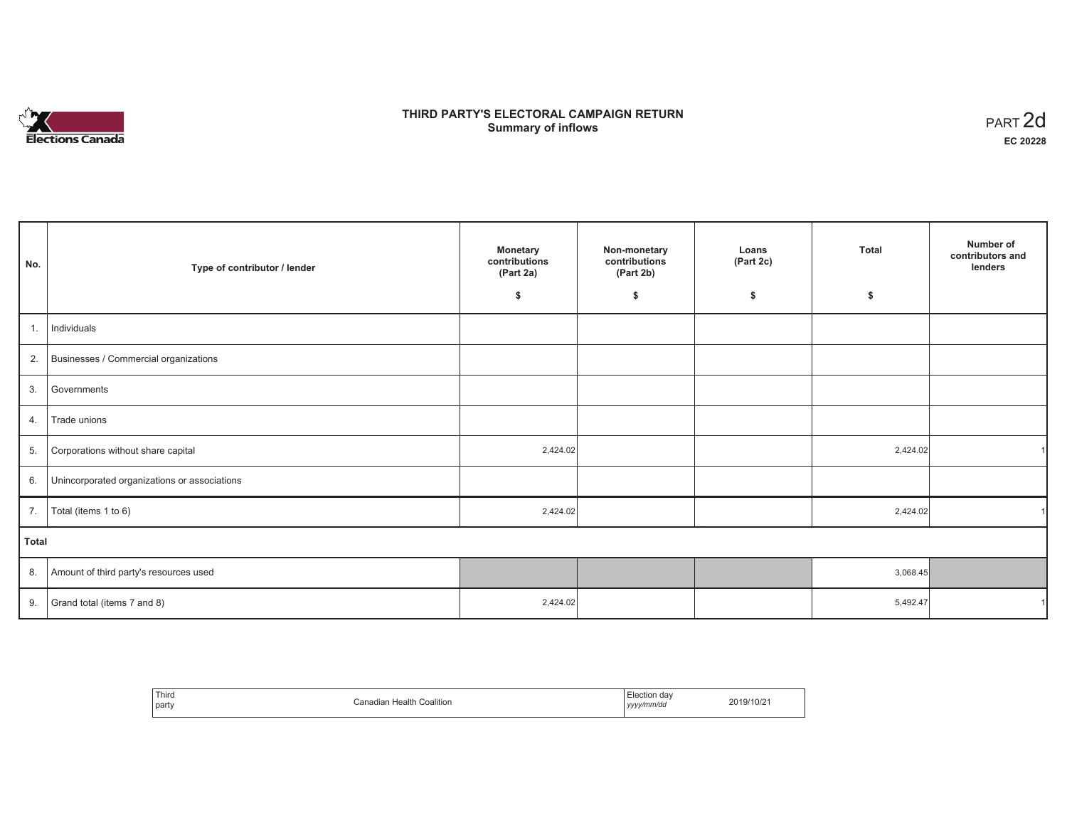# **Elections Canada**

# **THIRD PARTY'S ELECTORAL CAMPAIGN RETURN Summary of inflows**

| PART <sub>2d</sub> |
|--------------------|
| EC 20228           |

| No.          | Type of contributor / lender                 | <b>Monetary</b><br>contributions<br>(Part 2a) | Non-monetary<br>contributions<br>(Part 2b) | Loans<br>(Part 2c) | <b>Total</b> | Number of<br>contributors and<br>lenders |
|--------------|----------------------------------------------|-----------------------------------------------|--------------------------------------------|--------------------|--------------|------------------------------------------|
|              |                                              | \$                                            | \$                                         | \$                 | \$           |                                          |
| 1.           | Individuals                                  |                                               |                                            |                    |              |                                          |
| 2.           | Businesses / Commercial organizations        |                                               |                                            |                    |              |                                          |
| 3.           | Governments                                  |                                               |                                            |                    |              |                                          |
| 4.           | Trade unions                                 |                                               |                                            |                    |              |                                          |
| 5.           | Corporations without share capital           | 2,424.02                                      |                                            |                    | 2,424.02     |                                          |
| 6.           | Unincorporated organizations or associations |                                               |                                            |                    |              |                                          |
| 7.           | Total (items 1 to 6)                         | 2,424.02                                      |                                            |                    | 2,424.02     |                                          |
| <b>Total</b> |                                              |                                               |                                            |                    |              |                                          |
| 8.           | Amount of third party's resources used       |                                               |                                            |                    | 3,068.45     |                                          |
| 9.           | Grand total (items 7 and 8)                  | 2,424.02                                      |                                            |                    | 5,492.47     |                                          |

| Third<br>Canadian Health (<br>Coalition<br>party | Flection dav<br>2019/10/21<br>yyyy/mm/dd |  |
|--------------------------------------------------|------------------------------------------|--|
|--------------------------------------------------|------------------------------------------|--|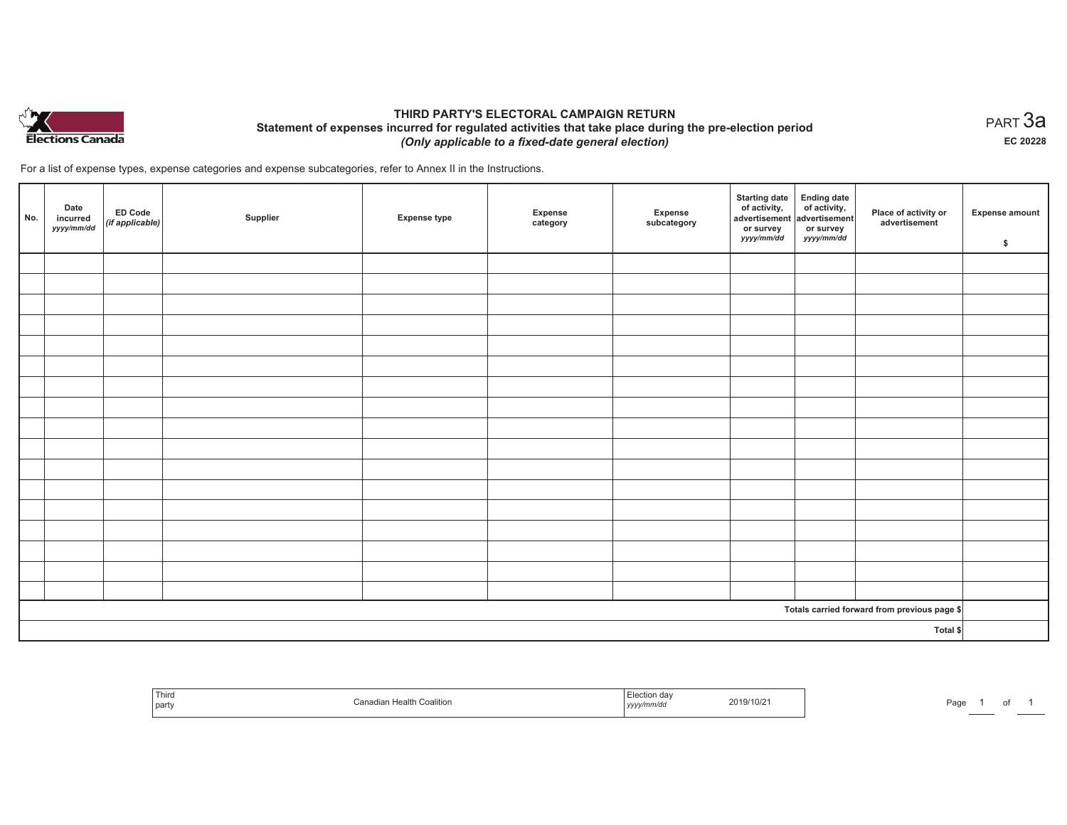

## **THIRD PARTY'S ELECTORAL CAMPAIGN RETURN Statement of expenses incurred for regulated activities that take place during the pre-election period**  *(Only applicable to a fixed-date general election)*

For a list of expense types, expense categories and expense subcategories, refer to Annex II in the Instructions.

| No.                                          | Date<br>incurred<br>yyyy/mm/dd | <b>ED Code</b><br>$($ if applicable $)$ | Supplier | <b>Expense type</b> | Expense<br>category | Expense<br>subcategory | <b>Starting date</b><br>of activity,<br>advertisement<br>or survey<br>yyyy/mm/dd | Ending date<br>of activity,<br>advertisement<br>or survey<br>yyyy/mm/dd | Place of activity or<br>advertisement | Expense amount<br>\$ |
|----------------------------------------------|--------------------------------|-----------------------------------------|----------|---------------------|---------------------|------------------------|----------------------------------------------------------------------------------|-------------------------------------------------------------------------|---------------------------------------|----------------------|
|                                              |                                |                                         |          |                     |                     |                        |                                                                                  |                                                                         |                                       |                      |
|                                              |                                |                                         |          |                     |                     |                        |                                                                                  |                                                                         |                                       |                      |
|                                              |                                |                                         |          |                     |                     |                        |                                                                                  |                                                                         |                                       |                      |
|                                              |                                |                                         |          |                     |                     |                        |                                                                                  |                                                                         |                                       |                      |
|                                              |                                |                                         |          |                     |                     |                        |                                                                                  |                                                                         |                                       |                      |
|                                              |                                |                                         |          |                     |                     |                        |                                                                                  |                                                                         |                                       |                      |
|                                              |                                |                                         |          |                     |                     |                        |                                                                                  |                                                                         |                                       |                      |
|                                              |                                |                                         |          |                     |                     |                        |                                                                                  |                                                                         |                                       |                      |
|                                              |                                |                                         |          |                     |                     |                        |                                                                                  |                                                                         |                                       |                      |
|                                              |                                |                                         |          |                     |                     |                        |                                                                                  |                                                                         |                                       |                      |
|                                              |                                |                                         |          |                     |                     |                        |                                                                                  |                                                                         |                                       |                      |
|                                              |                                |                                         |          |                     |                     |                        |                                                                                  |                                                                         |                                       |                      |
|                                              |                                |                                         |          |                     |                     |                        |                                                                                  |                                                                         |                                       |                      |
|                                              |                                |                                         |          |                     |                     |                        |                                                                                  |                                                                         |                                       |                      |
|                                              |                                |                                         |          |                     |                     |                        |                                                                                  |                                                                         |                                       |                      |
|                                              |                                |                                         |          |                     |                     |                        |                                                                                  |                                                                         |                                       |                      |
|                                              |                                |                                         |          |                     |                     |                        |                                                                                  |                                                                         |                                       |                      |
| Totals carried forward from previous page \$ |                                |                                         |          |                     |                     |                        |                                                                                  |                                                                         |                                       |                      |
| Total \$                                     |                                |                                         |          |                     |                     |                        |                                                                                  |                                                                         |                                       |                      |

| ' Thirc<br>party | Canadian Health Coalition | ⊥lection<br>aa<br>2019/10/21<br>.<br>yyyy/mm/dd | Page |
|------------------|---------------------------|-------------------------------------------------|------|
|------------------|---------------------------|-------------------------------------------------|------|

 $_{\sf PART}$ 3a **EC 20228**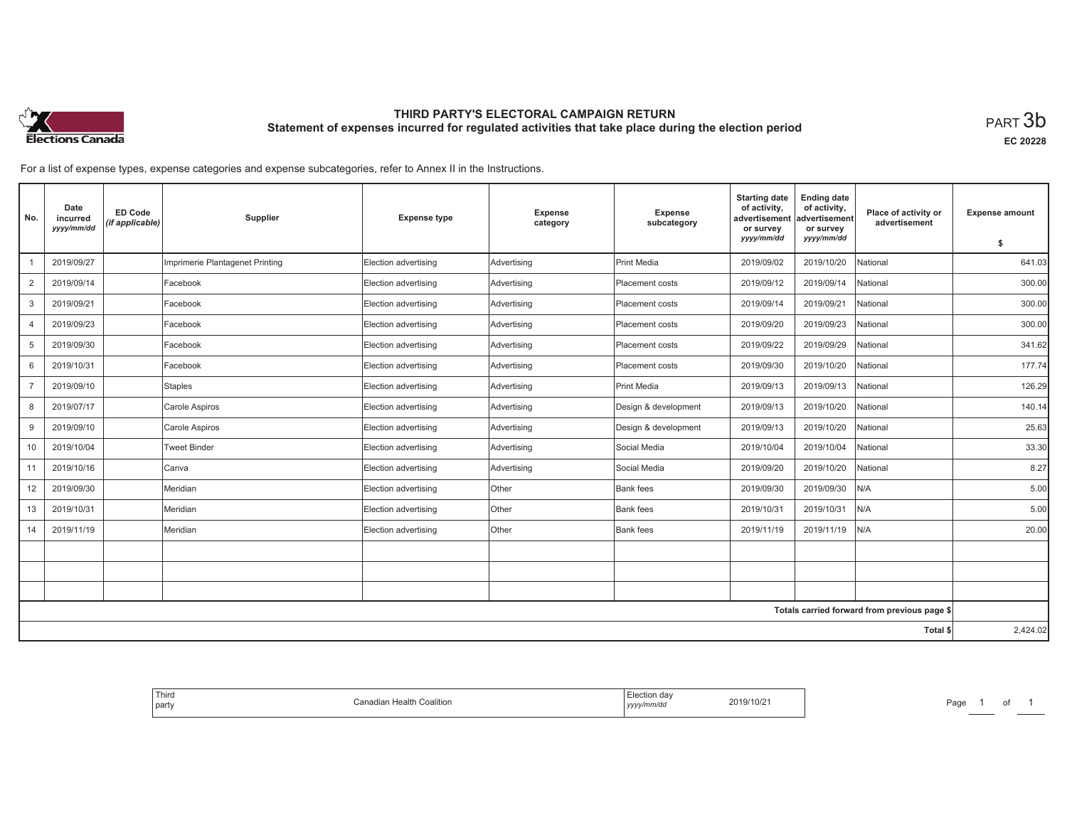

# **THIRD PARTY'S ELECTORAL CAMPAIGN RETURN Statement of expenses incurred for regulated activities that take place during the election period**<br>PART  $3\mathsf{b}$

**EC 20228**

For a list of expense types, expense categories and expense subcategories, refer to Annex II in the Instructions.

| No.             | Date<br>incurred<br>yyyy/mm/dd | <b>ED Code</b><br>(if applicable) | Supplier                        | <b>Expense type</b>  | Expense<br>category | <b>Expense</b><br>subcategory | <b>Starting date</b><br>of activity,<br>advertisement<br>or survey<br>yyyy/mm/dd | <b>Ending date</b><br>of activity,<br>advertisement<br>or survey<br>yyyy/mm/dd | Place of activity or<br>advertisement        | <b>Expense amount</b><br>\$ |
|-----------------|--------------------------------|-----------------------------------|---------------------------------|----------------------|---------------------|-------------------------------|----------------------------------------------------------------------------------|--------------------------------------------------------------------------------|----------------------------------------------|-----------------------------|
|                 | 2019/09/27                     |                                   | Imprimerie Plantagenet Printing | Election advertising | Advertising         | <b>Print Media</b>            | 2019/09/02                                                                       | 2019/10/20                                                                     | National                                     | 641.03                      |
| 2               | 2019/09/14                     |                                   | Facebook                        | Election advertising | Advertising         | Placement costs               | 2019/09/12                                                                       | 2019/09/14                                                                     | National                                     | 300.00                      |
| 3               | 2019/09/21                     |                                   | Facebook                        | Election advertising | Advertising         | Placement costs               | 2019/09/14                                                                       | 2019/09/21                                                                     | National                                     | 300.00                      |
| $\overline{4}$  | 2019/09/23                     |                                   | Facebook                        | Election advertising | Advertising         | Placement costs               | 2019/09/20                                                                       | 2019/09/23                                                                     | National                                     | 300.00                      |
| 5               | 2019/09/30                     |                                   | Facebook                        | Election advertising | Advertising         | Placement costs               | 2019/09/22                                                                       | 2019/09/29                                                                     | National                                     | 341.62                      |
| 6               | 2019/10/31                     |                                   | Facebook                        | Election advertising | Advertising         | Placement costs               | 2019/09/30                                                                       | 2019/10/20                                                                     | National                                     | 177.74                      |
| 7               | 2019/09/10                     |                                   | Staples                         | Election advertising | Advertising         | Print Media                   | 2019/09/13                                                                       | 2019/09/13                                                                     | National                                     | 126.29                      |
| 8               | 2019/07/17                     |                                   | Carole Aspiros                  | Election advertising | Advertising         | Design & development          | 2019/09/13                                                                       | 2019/10/20                                                                     | National                                     | 140.14                      |
| 9               | 2019/09/10                     |                                   | Carole Aspiros                  | Election advertising | Advertising         | Design & development          | 2019/09/13                                                                       | 2019/10/20                                                                     | National                                     | 25.63                       |
| 10              | 2019/10/04                     |                                   | Tweet Binder                    | Election advertising | Advertising         | Social Media                  | 2019/10/04                                                                       | 2019/10/04                                                                     | National                                     | 33.30                       |
| 11              | 2019/10/16                     |                                   | Canva                           | Election advertising | Advertising         | Social Media                  | 2019/09/20                                                                       | 2019/10/20                                                                     | National                                     | 8.27                        |
| 12              | 2019/09/30                     |                                   | Meridian                        | Election advertising | Other               | Bank fees                     | 2019/09/30                                                                       | 2019/09/30                                                                     | N/A                                          | 5.00                        |
| 13              | 2019/10/31                     |                                   | Meridian                        | Election advertising | Other               | <b>Bank fees</b>              | 2019/10/31                                                                       | 2019/10/31                                                                     | N/A                                          | 5.00                        |
| 14              | 2019/11/19                     |                                   | Meridian                        | Election advertising | Other               | <b>Bank fees</b>              | 2019/11/19                                                                       | 2019/11/19                                                                     | N/A                                          | 20.00                       |
|                 |                                |                                   |                                 |                      |                     |                               |                                                                                  |                                                                                |                                              |                             |
|                 |                                |                                   |                                 |                      |                     |                               |                                                                                  |                                                                                |                                              |                             |
|                 |                                |                                   |                                 |                      |                     |                               |                                                                                  |                                                                                |                                              |                             |
|                 |                                |                                   |                                 |                      |                     |                               |                                                                                  |                                                                                | Totals carried forward from previous page \$ |                             |
| <b>Total \$</b> |                                |                                   |                                 |                      |                     |                               | 2,424.02                                                                         |                                                                                |                                              |                             |

| Election day<br>2019/10/21<br>Coalition<br>∴anadian Health<br>yyyy/mm/dd |
|--------------------------------------------------------------------------|
|--------------------------------------------------------------------------|

Page 1 of